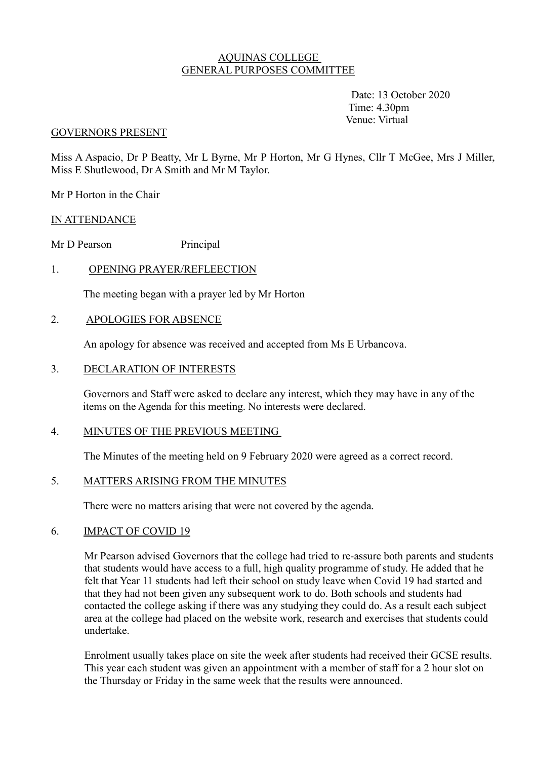## AQUINAS COLLEGE GENERAL PURPOSES COMMITTEE

 Date: 13 October 2020 Time: 4.30pm Venue: Virtual

#### GOVERNORS PRESENT

Miss A Aspacio, Dr P Beatty, Mr L Byrne, Mr P Horton, Mr G Hynes, Cllr T McGee, Mrs J Miller, Miss E Shutlewood, Dr A Smith and Mr M Taylor.

Mr P Horton in the Chair

### IN ATTENDANCE

Mr D Pearson Principal

## 1. OPENING PRAYER/REFLEECTION

The meeting began with a prayer led by Mr Horton

### 2. APOLOGIES FOR ABSENCE

An apology for absence was received and accepted from Ms E Urbancova.

### 3. DECLARATION OF INTERESTS

 Governors and Staff were asked to declare any interest, which they may have in any of the items on the Agenda for this meeting. No interests were declared.

### 4. MINUTES OF THE PREVIOUS MEETING

The Minutes of the meeting held on 9 February 2020 were agreed as a correct record.

# 5. MATTERS ARISING FROM THE MINUTES

There were no matters arising that were not covered by the agenda.

### 6. IMPACT OF COVID 19

Mr Pearson advised Governors that the college had tried to re-assure both parents and students that students would have access to a full, high quality programme of study. He added that he felt that Year 11 students had left their school on study leave when Covid 19 had started and that they had not been given any subsequent work to do. Both schools and students had contacted the college asking if there was any studying they could do. As a result each subject area at the college had placed on the website work, research and exercises that students could undertake.

Enrolment usually takes place on site the week after students had received their GCSE results. This year each student was given an appointment with a member of staff for a 2 hour slot on the Thursday or Friday in the same week that the results were announced.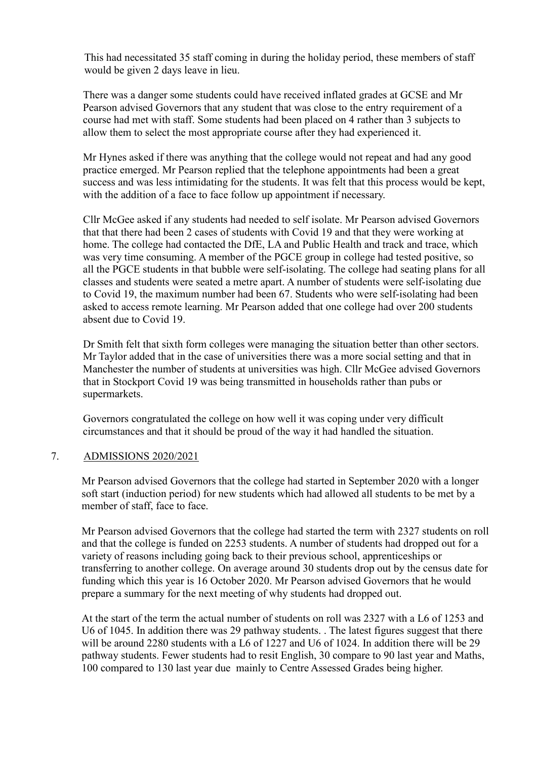This had necessitated 35 staff coming in during the holiday period, these members of staff would be given 2 days leave in lieu.

There was a danger some students could have received inflated grades at GCSE and Mr Pearson advised Governors that any student that was close to the entry requirement of a course had met with staff. Some students had been placed on 4 rather than 3 subjects to allow them to select the most appropriate course after they had experienced it.

Mr Hynes asked if there was anything that the college would not repeat and had any good practice emerged. Mr Pearson replied that the telephone appointments had been a great success and was less intimidating for the students. It was felt that this process would be kept, with the addition of a face to face follow up appointment if necessary.

Cllr McGee asked if any students had needed to self isolate. Mr Pearson advised Governors that that there had been 2 cases of students with Covid 19 and that they were working at home. The college had contacted the DfE, LA and Public Health and track and trace, which was very time consuming. A member of the PGCE group in college had tested positive, so all the PGCE students in that bubble were self-isolating. The college had seating plans for all classes and students were seated a metre apart. A number of students were self-isolating due to Covid 19, the maximum number had been 67. Students who were self-isolating had been asked to access remote learning. Mr Pearson added that one college had over 200 students absent due to Covid 19.

Dr Smith felt that sixth form colleges were managing the situation better than other sectors. Mr Taylor added that in the case of universities there was a more social setting and that in Manchester the number of students at universities was high. Cllr McGee advised Governors that in Stockport Covid 19 was being transmitted in households rather than pubs or supermarkets.

Governors congratulated the college on how well it was coping under very difficult circumstances and that it should be proud of the way it had handled the situation.

# 7. ADMISSIONS 2020/2021

Mr Pearson advised Governors that the college had started in September 2020 with a longer soft start (induction period) for new students which had allowed all students to be met by a member of staff, face to face.

Mr Pearson advised Governors that the college had started the term with 2327 students on roll and that the college is funded on 2253 students. A number of students had dropped out for a variety of reasons including going back to their previous school, apprenticeships or transferring to another college. On average around 30 students drop out by the census date for funding which this year is 16 October 2020. Mr Pearson advised Governors that he would prepare a summary for the next meeting of why students had dropped out.

At the start of the term the actual number of students on roll was 2327 with a L6 of 1253 and U6 of 1045. In addition there was 29 pathway students. . The latest figures suggest that there will be around 2280 students with a L6 of 1227 and U6 of 1024. In addition there will be 29 pathway students. Fewer students had to resit English, 30 compare to 90 last year and Maths, 100 compared to 130 last year due mainly to Centre Assessed Grades being higher.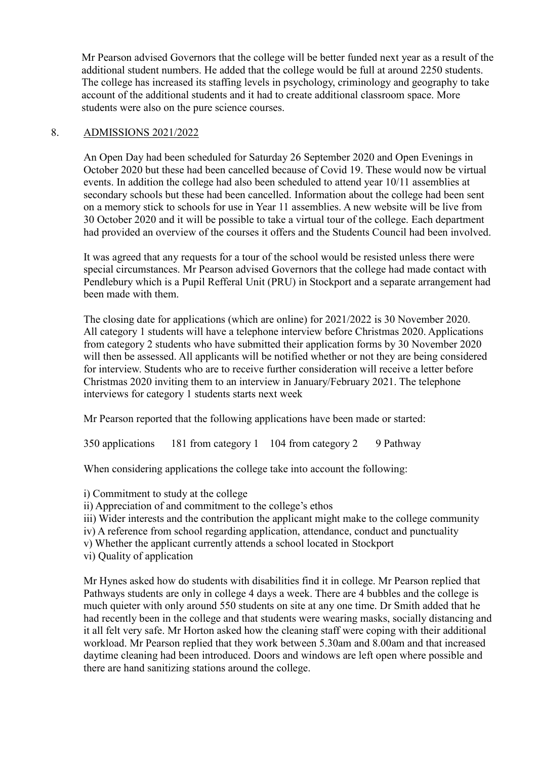Mr Pearson advised Governors that the college will be better funded next year as a result of the additional student numbers. He added that the college would be full at around 2250 students. The college has increased its staffing levels in psychology, criminology and geography to take account of the additional students and it had to create additional classroom space. More students were also on the pure science courses.

### 8. ADMISSIONS 2021/2022

An Open Day had been scheduled for Saturday 26 September 2020 and Open Evenings in October 2020 but these had been cancelled because of Covid 19. These would now be virtual events. In addition the college had also been scheduled to attend year 10/11 assemblies at secondary schools but these had been cancelled. Information about the college had been sent on a memory stick to schools for use in Year 11 assemblies. A new website will be live from 30 October 2020 and it will be possible to take a virtual tour of the college. Each department had provided an overview of the courses it offers and the Students Council had been involved.

It was agreed that any requests for a tour of the school would be resisted unless there were special circumstances. Mr Pearson advised Governors that the college had made contact with Pendlebury which is a Pupil Refferal Unit (PRU) in Stockport and a separate arrangement had been made with them.

The closing date for applications (which are online) for 2021/2022 is 30 November 2020. All category 1 students will have a telephone interview before Christmas 2020. Applications from category 2 students who have submitted their application forms by 30 November 2020 will then be assessed. All applicants will be notified whether or not they are being considered for interview. Students who are to receive further consideration will receive a letter before Christmas 2020 inviting them to an interview in January/February 2021. The telephone interviews for category 1 students starts next week

Mr Pearson reported that the following applications have been made or started:

350 applications 181 from category 1 104 from category 2 9 Pathway

When considering applications the college take into account the following:

i) Commitment to study at the college

ii) Appreciation of and commitment to the college's ethos

iii) Wider interests and the contribution the applicant might make to the college community

iv) A reference from school regarding application, attendance, conduct and punctuality

v) Whether the applicant currently attends a school located in Stockport

vi) Quality of application

Mr Hynes asked how do students with disabilities find it in college. Mr Pearson replied that Pathways students are only in college 4 days a week. There are 4 bubbles and the college is much quieter with only around 550 students on site at any one time. Dr Smith added that he had recently been in the college and that students were wearing masks, socially distancing and it all felt very safe. Mr Horton asked how the cleaning staff were coping with their additional workload. Mr Pearson replied that they work between 5.30am and 8.00am and that increased daytime cleaning had been introduced. Doors and windows are left open where possible and there are hand sanitizing stations around the college.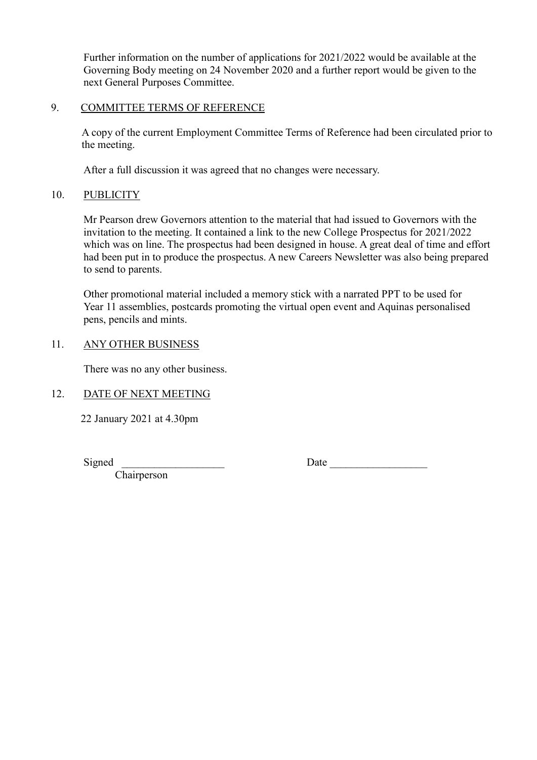Further information on the number of applications for 2021/2022 would be available at the Governing Body meeting on 24 November 2020 and a further report would be given to the next General Purposes Committee.

### 9. COMMITTEE TERMS OF REFERENCE

A copy of the current Employment Committee Terms of Reference had been circulated prior to the meeting.

After a full discussion it was agreed that no changes were necessary.

# 10. PUBLICITY

Mr Pearson drew Governors attention to the material that had issued to Governors with the invitation to the meeting. It contained a link to the new College Prospectus for 2021/2022 which was on line. The prospectus had been designed in house. A great deal of time and effort had been put in to produce the prospectus. A new Careers Newsletter was also being prepared to send to parents.

Other promotional material included a memory stick with a narrated PPT to be used for Year 11 assemblies, postcards promoting the virtual open event and Aquinas personalised pens, pencils and mints.

## 11. ANY OTHER BUSINESS

There was no any other business.

# 12. DATE OF NEXT MEETING

22 January 2021 at 4.30pm

Signed

Date \_\_\_\_\_\_\_\_\_\_\_\_\_\_\_\_\_\_

Chairperson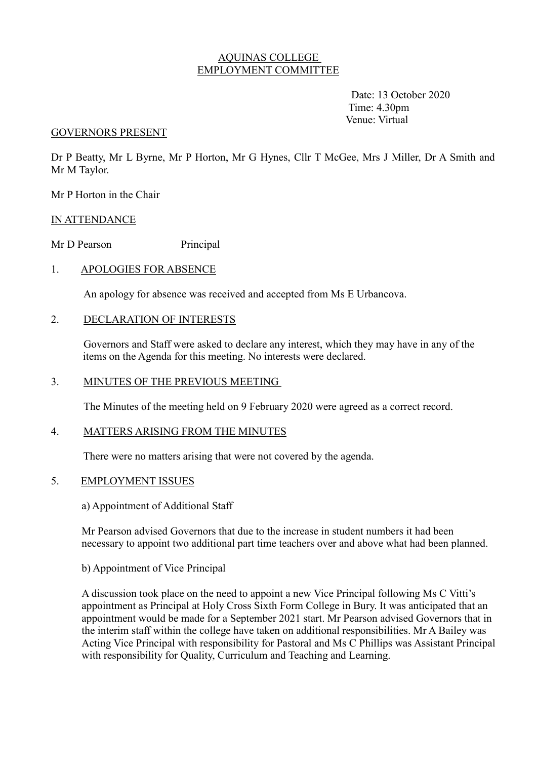## AQUINAS COLLEGE EMPLOYMENT COMMITTEE

 Date: 13 October 2020 Time: 4.30pm Venue: Virtual

#### GOVERNORS PRESENT

Dr P Beatty, Mr L Byrne, Mr P Horton, Mr G Hynes, Cllr T McGee, Mrs J Miller, Dr A Smith and Mr M Taylor.

Mr P Horton in the Chair

## IN ATTENDANCE

Mr D Pearson Principal

## 1. APOLOGIES FOR ABSENCE

An apology for absence was received and accepted from Ms E Urbancova.

### 2. DECLARATION OF INTERESTS

 Governors and Staff were asked to declare any interest, which they may have in any of the items on the Agenda for this meeting. No interests were declared.

### 3. MINUTES OF THE PREVIOUS MEETING

The Minutes of the meeting held on 9 February 2020 were agreed as a correct record.

### 4. MATTERS ARISING FROM THE MINUTES

There were no matters arising that were not covered by the agenda.

## 5. EMPLOYMENT ISSUES

a) Appointment of Additional Staff

Mr Pearson advised Governors that due to the increase in student numbers it had been necessary to appoint two additional part time teachers over and above what had been planned.

### b) Appointment of Vice Principal

A discussion took place on the need to appoint a new Vice Principal following Ms C Vitti's appointment as Principal at Holy Cross Sixth Form College in Bury. It was anticipated that an appointment would be made for a September 2021 start. Mr Pearson advised Governors that in the interim staff within the college have taken on additional responsibilities. Mr A Bailey was Acting Vice Principal with responsibility for Pastoral and Ms C Phillips was Assistant Principal with responsibility for Quality, Curriculum and Teaching and Learning.